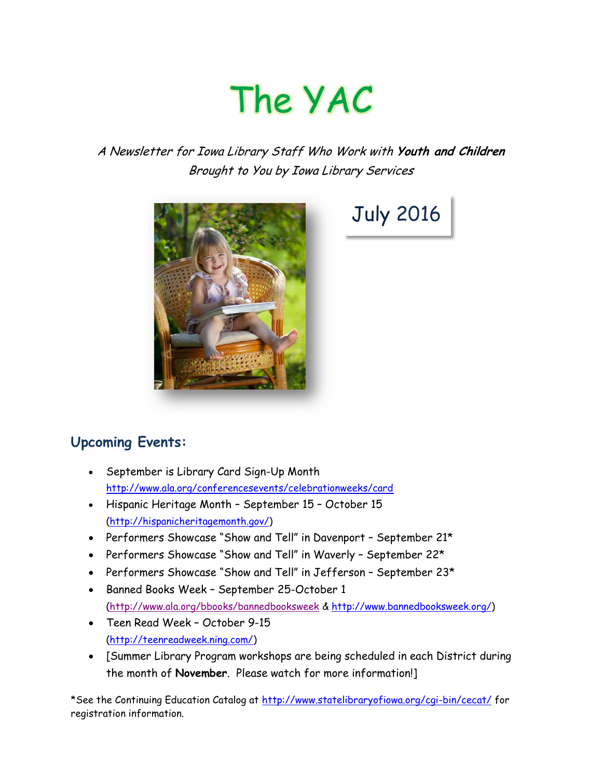# The YAC

### A Newsletter for Iowa Library Staff Who Work with **Youth and Children** Brought to You by Iowa Library Services



# July 2016

## **Upcoming Events:**

- September is Library Card Sign-Up Month <http://www.ala.org/conferencesevents/celebrationweeks/card>
- Hispanic Heritage Month September 15 October 15 [\(http://hispanicheritagemonth.gov/\)](http://hispanicheritagemonth.gov/)
- Performers Showcase "Show and Tell" in Davenport September 21\*
- Performers Showcase "Show and Tell" in Waverly September 22\*
- Performers Showcase "Show and Tell" in Jefferson September 23\*
- Banned Books Week September 25-October 1 [\(http://www.ala.org/bbooks/bannedbooksweek](http://www.ala.org/bbooks/bannedbooksweek) & [http://www.bannedbooksweek.org/\)](http://www.bannedbooksweek.org/)
- Teen Read Week October 9-15 [\(http://teenreadweek.ning.com/\)](http://teenreadweek.ning.com/)
- [Summer Library Program workshops are being scheduled in each District during the month of **November**. Please watch for more information!]

\*See the Continuing Education Catalog at<http://www.statelibraryofiowa.org/cgi-bin/cecat/> for registration information.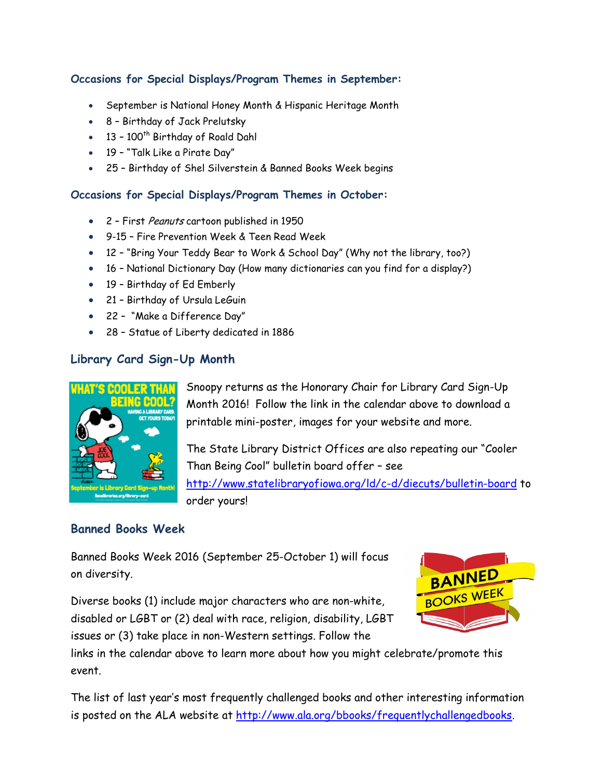#### **Occasions for Special Displays/Program Themes in September:**

- September is National Honey Month & Hispanic Heritage Month
- 8 Birthday of Jack Prelutsky
- $\bullet$  13 100<sup>th</sup> Birthday of Roald Dahl
- 19 "Talk Like a Pirate Day"
- 25 Birthday of Shel Silverstein & Banned Books Week begins

#### **Occasions for Special Displays/Program Themes in October:**

- 2 First Peanuts cartoon published in 1950
- 9-15 Fire Prevention Week & Teen Read Week
- 12 "Bring Your Teddy Bear to Work & School Day" (Why not the library, too?)
- 16 National Dictionary Day (How many dictionaries can you find for a display?)
- 19 Birthday of Ed Emberly
- 21 Birthday of Ursula LeGuin
- 22 "Make a Difference Day"
- 28 Statue of Liberty dedicated in 1886

#### **Library Card Sign-Up Month**



Snoopy returns as the Honorary Chair for Library Card Sign-Up Month 2016! Follow the link in the calendar above to download a printable mini-poster, images for your website and more.

The State Library District Offices are also repeating our "Cooler Than Being Cool" bulletin board offer – see <http://www.statelibraryofiowa.org/ld/c-d/diecuts/bulletin-board> to order yours!

#### **Banned Books Week**

Banned Books Week 2016 (September 25-October 1) will focus on diversity.

Diverse books (1) include major characters who are non-white, disabled or LGBT or (2) deal with race, religion, disability, LGBT issues or (3) take place in non-Western settings. Follow the



links in the calendar above to learn more about how you might celebrate/promote this event.

The list of last year's most frequently challenged books and other interesting information is posted on the ALA website at [http://www.ala.org/bbooks/frequentlychallengedbooks.](http://www.ala.org/bbooks/frequentlychallengedbooks)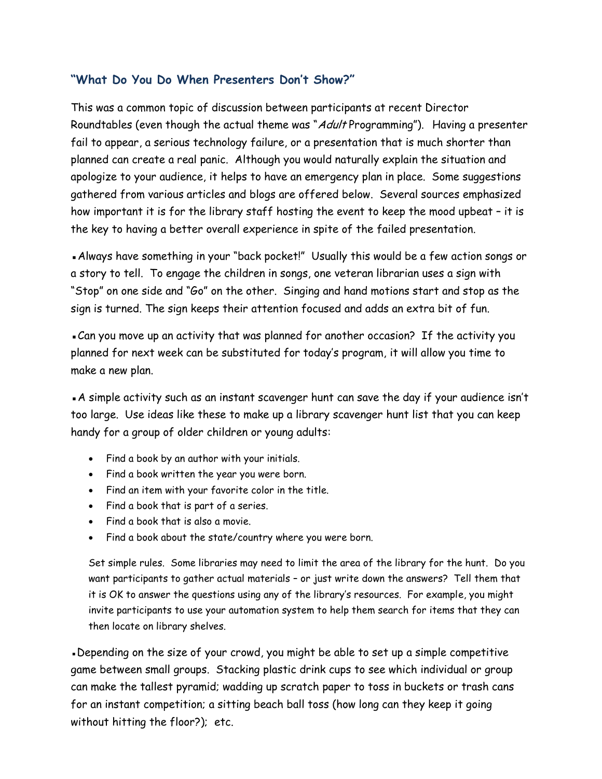#### **"What Do You Do When Presenters Don't Show?"**

This was a common topic of discussion between participants at recent Director Roundtables (even though the actual theme was "Adult Programming"). Having a presenter fail to appear, a serious technology failure, or a presentation that is much shorter than planned can create a real panic. Although you would naturally explain the situation and apologize to your audience, it helps to have an emergency plan in place. Some suggestions gathered from various articles and blogs are offered below. Several sources emphasized how important it is for the library staff hosting the event to keep the mood upbeat – it is the key to having a better overall experience in spite of the failed presentation.

▪Always have something in your "back pocket!" Usually this would be a few action songs or a story to tell. To engage the children in songs, one veteran librarian uses a sign with "Stop" on one side and "Go" on the other. Singing and hand motions start and stop as the sign is turned. The sign keeps their attention focused and adds an extra bit of fun.

. Can you move up an activity that was planned for another occasion? If the activity you planned for next week can be substituted for today's program, it will allow you time to make a new plan.

▪A simple activity such as an instant scavenger hunt can save the day if your audience isn't too large. Use ideas like these to make up a library scavenger hunt list that you can keep handy for a group of older children or young adults:

- Find a book by an author with your initials.
- Find a book written the year you were born.
- Find an item with your favorite color in the title.
- Find a book that is part of a series.
- Find a book that is also a movie.
- Find a book about the state/country where you were born.

Set simple rules. Some libraries may need to limit the area of the library for the hunt. Do you want participants to gather actual materials – or just write down the answers? Tell them that it is OK to answer the questions using any of the library's resources. For example, you might invite participants to use your automation system to help them search for items that they can then locate on library shelves.

▪Depending on the size of your crowd, you might be able to set up a simple competitive game between small groups. Stacking plastic drink cups to see which individual or group can make the tallest pyramid; wadding up scratch paper to toss in buckets or trash cans for an instant competition; a sitting beach ball toss (how long can they keep it going without hitting the floor?); etc.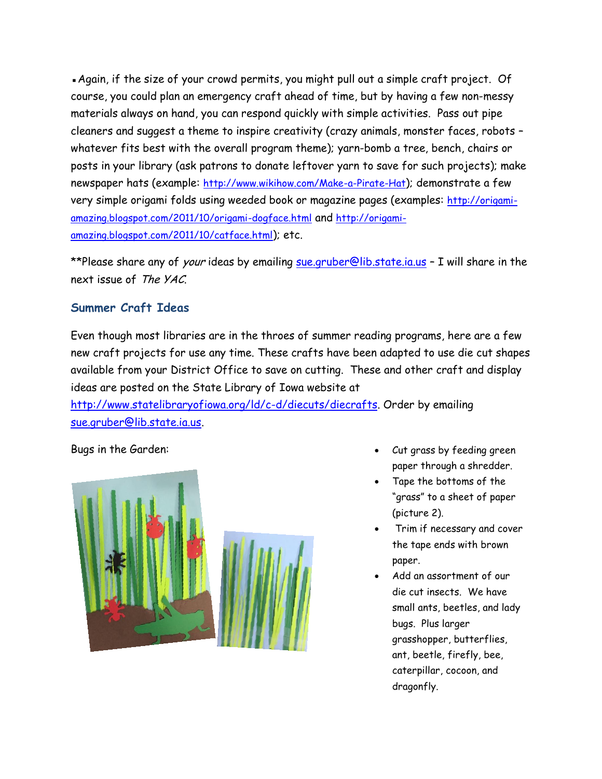. Again, if the size of your crowd permits, you might pull out a simple craft project. Of course, you could plan an emergency craft ahead of time, but by having a few non-messy materials always on hand, you can respond quickly with simple activities. Pass out pipe cleaners and suggest a theme to inspire creativity (crazy animals, monster faces, robots – whatever fits best with the overall program theme); yarn-bomb a tree, bench, chairs or posts in your library (ask patrons to donate leftover yarn to save for such projects); make newspaper hats (example: <http://www.wikihow.com/Make-a-Pirate-Hat>); demonstrate a few very simple origami folds using weeded book or magazine pages (examples: [http://origami](http://origami-amazing.blogspot.com/2011/10/origami-dogface.html)[amazing.blogspot.com/2011/10/origami-dogface.html](http://origami-amazing.blogspot.com/2011/10/origami-dogface.html) and [http://origami](http://origami-amazing.blogspot.com/2011/10/catface.html)[amazing.blogspot.com/2011/10/catface.html](http://origami-amazing.blogspot.com/2011/10/catface.html)); etc.

\*\*Please share any of *your* ideas by emailing [sue.gruber@lib.state.ia.us](mailto:sue.gruber@lib.state.ia.us) - I will share in the next issue of The YAC.

#### **Summer Craft Ideas**

Even though most libraries are in the throes of summer reading programs, here are a few new craft projects for use any time. These crafts have been adapted to use die cut shapes available from your District Office to save on cutting. These and other craft and display ideas are posted on the State Library of Iowa website at

[http://www.statelibraryofiowa.org/ld/c-d/diecuts/diecrafts.](http://www.statelibraryofiowa.org/ld/c-d/diecuts/diecrafts) Order by emailing [sue.gruber@lib.state.ia.us.](mailto:sue.gruber@lib.state.ia.us)



- Bugs in the Garden: Superintendent Superintendent Superintendent Superintendent Superintendent Superintendent Superintendent Superintendent Superintendent Superintendent Superintendent Superintendent Superintendent Superin paper through a shredder.
	- Tape the bottoms of the "grass" to a sheet of paper (picture 2).
	- Trim if necessary and cover the tape ends with brown paper.
	- Add an assortment of our die cut insects. We have small ants, beetles, and lady bugs. Plus larger grasshopper, butterflies, ant, beetle, firefly, bee, caterpillar, cocoon, and dragonfly.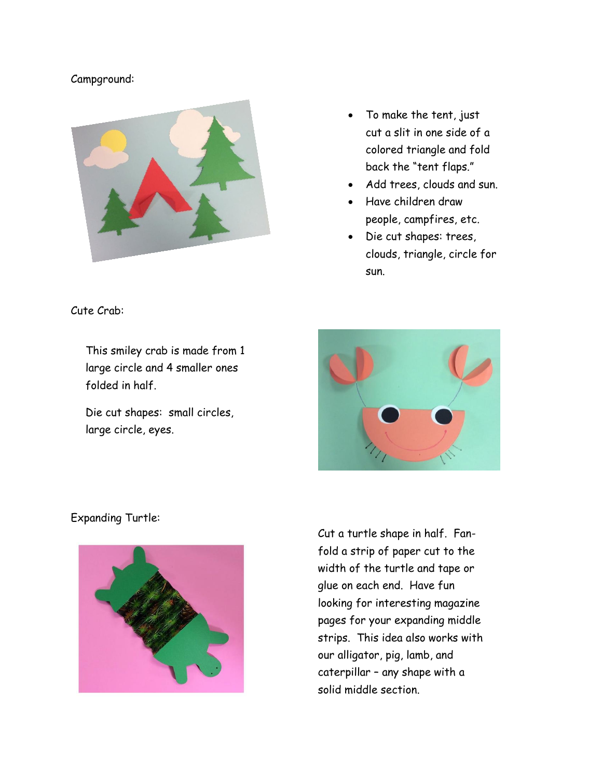#### Campground:



• To make the tent, just cut a slit in one side of a colored triangle and fold back the "tent flaps."

- Add trees, clouds and sun.
- Have children draw people, campfires, etc.
- Die cut shapes: trees, clouds, triangle, circle for sun.

Cute Crab:

This smiley crab is made from 1 large circle and 4 smaller ones folded in half.

Die cut shapes: small circles, large circle, eyes.



#### Expanding Turtle:



Cut a turtle shape in half. Fanfold a strip of paper cut to the width of the turtle and tape or glue on each end. Have fun looking for interesting magazine pages for your expanding middle strips. This idea also works with our alligator, pig, lamb, and caterpillar – any shape with a solid middle section.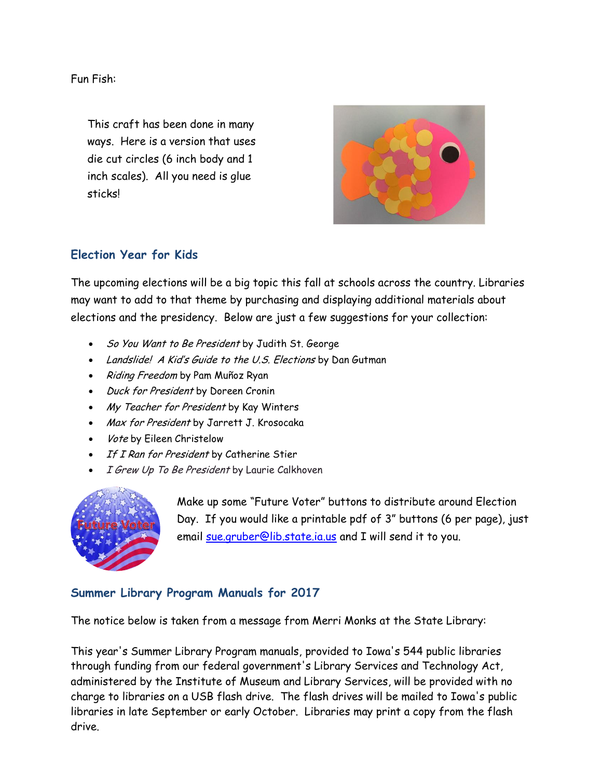Fun Fish:

This craft has been done in many ways. Here is a version that uses die cut circles (6 inch body and 1 inch scales). All you need is glue sticks!



#### **Election Year for Kids**

The upcoming elections will be a big topic this fall at schools across the country. Libraries may want to add to that theme by purchasing and displaying additional materials about elections and the presidency. Below are just a few suggestions for your collection:

- So You Want to Be President by Judith St. George
- Landslide! A Kid's Guide to the U.S. Elections by Dan Gutman
- Riding Freedom by Pam Muñoz Ryan
- Duck for President by Doreen Cronin
- My Teacher for President by Kay Winters
- Max for President by Jarrett J. Krosocaka
- Vote by Eileen Christelow
- If I Ran for President by Catherine Stier
- I Grew Up To Be President by Laurie Calkhoven



Make up some "Future Voter" buttons to distribute around Election Day. If you would like a printable pdf of 3" buttons (6 per page), just email [sue.gruber@lib.state.ia.us](mailto:sue.gruber@lib.state.ia.us) and I will send it to you.

#### **Summer Library Program Manuals for 2017**

The notice below is taken from a message from Merri Monks at the State Library:

This year's Summer Library Program manuals, provided to Iowa's 544 public libraries through funding from our federal government's Library Services and Technology Act, administered by the Institute of Museum and Library Services, will be provided with no charge to libraries on a USB flash drive. The flash drives will be mailed to Iowa's public libraries in late September or early October. Libraries may print a copy from the flash drive.